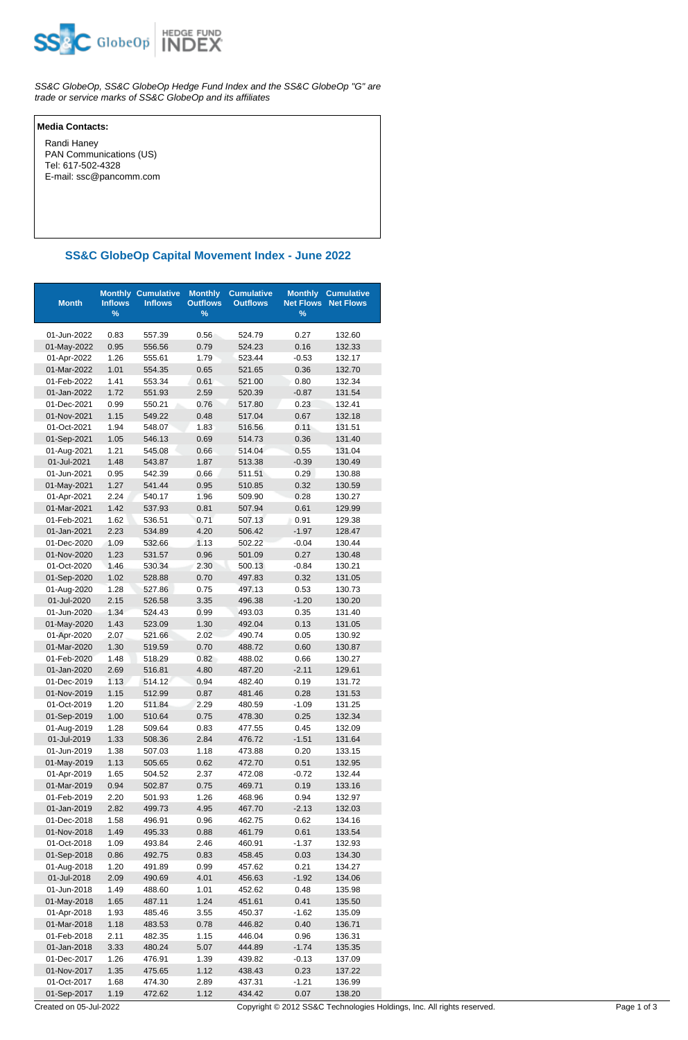

SS&C GlobeOp, SS&C GlobeOp Hedge Fund Index and the SS&C GlobeOp "G" are trade or service marks of SS&C GlobeOp and its affiliates

## **Media Contacts:**

 Randi Haney PAN Communications (US) Tel: 617-502-4328 E-mail: ssc@pancomm.com

## **SS&C GlobeOp Capital Movement Index - June 2022**

| <b>Month</b> | <b>Inflows</b><br>% | <b>Monthly Cumulative</b><br><b>Inflows</b> | <b>Monthly</b><br><b>Outflows</b><br>$\%$ | <b>Cumulative</b><br><b>Outflows</b> | <b>Monthly</b><br><b>Net Flows</b><br>$\%$ | <b>Cumulative</b><br><b>Net Flows</b> |
|--------------|---------------------|---------------------------------------------|-------------------------------------------|--------------------------------------|--------------------------------------------|---------------------------------------|
| 01-Jun-2022  | 0.83                | 557.39                                      | 0.56                                      | 524.79                               | 0.27                                       | 132.60                                |
| 01-May-2022  | 0.95                | 556.56                                      | 0.79                                      | 524.23                               | 0.16                                       | 132.33                                |
| 01-Apr-2022  | 1.26                | 555.61                                      | 1.79                                      | 523.44                               | $-0.53$                                    | 132.17                                |
| 01-Mar-2022  | 1.01                | 554.35                                      | 0.65                                      | 521.65                               | 0.36                                       | 132.70                                |
| 01-Feb-2022  | 1.41                | 553.34                                      | 0.61                                      | 521.00                               | 0.80                                       | 132.34                                |
| 01-Jan-2022  | 1.72                | 551.93                                      | 2.59                                      | 520.39                               | $-0.87$                                    | 131.54                                |
| 01-Dec-2021  | 0.99                | 550.21                                      | 0.76                                      | 517.80                               | 0.23                                       | 132.41                                |
| 01-Nov-2021  | 1.15                | 549.22                                      | 0.48                                      | 517.04                               | 0.67                                       | 132.18                                |
| 01-Oct-2021  | 1.94                | 548.07                                      | 1.83                                      | 516.56                               | 0.11                                       | 131.51                                |
| 01-Sep-2021  | 1.05                | 546.13                                      | 0.69                                      | 514.73                               | 0.36                                       | 131.40                                |
| 01-Aug-2021  | 1.21                | 545.08                                      | 0.66                                      | 514.04                               | 0.55                                       | 131.04                                |
| 01-Jul-2021  | 1.48                | 543.87                                      | 1.87                                      | 513.38                               | $-0.39$                                    | 130.49                                |
| 01-Jun-2021  | 0.95                | 542.39                                      | 0.66                                      | 511.51                               | 0.29                                       | 130.88                                |
| 01-May-2021  | 1.27                | 541.44                                      | 0.95                                      | 510.85                               | 0.32                                       | 130.59                                |
| 01-Apr-2021  | 2.24                | 540.17                                      | 1.96                                      | 509.90                               | 0.28                                       | 130.27                                |
| 01-Mar-2021  | 1.42                | 537.93                                      | 0.81                                      | 507.94                               | 0.61                                       | 129.99                                |
| 01-Feb-2021  | 1.62                | 536.51                                      | 0.71                                      | 507.13                               | 0.91                                       | 129.38                                |
| 01-Jan-2021  | 2.23                | 534.89                                      | 4.20                                      | 506.42                               | $-1.97$                                    | 128.47                                |
| 01-Dec-2020  | 1.09                | 532.66                                      | 1.13                                      | 502.22                               | $-0.04$                                    | 130.44                                |
| 01-Nov-2020  | 1.23                | 531.57                                      | 0.96                                      | 501.09                               | 0.27                                       | 130.48                                |
| 01-Oct-2020  | 1.46                | 530.34                                      | 2.30                                      | 500.13                               | $-0.84$                                    | 130.21                                |
| 01-Sep-2020  | 1.02                | 528.88                                      | 0.70                                      | 497.83                               | 0.32                                       | 131.05                                |
| 01-Aug-2020  | 1.28                | 527.86                                      | 0.75                                      | 497.13                               | 0.53                                       | 130.73                                |
| 01-Jul-2020  | 2.15                | 526.58                                      | 3.35                                      | 496.38                               | $-1.20$                                    | 130.20                                |
| 01-Jun-2020  | 1.34                | 524.43                                      | 0.99                                      | 493.03                               | 0.35                                       | 131.40                                |
| 01-May-2020  | 1.43                | 523.09                                      | 1.30                                      | 492.04                               | 0.13                                       | 131.05                                |
| 01-Apr-2020  | 2.07                | 521.66                                      | 2.02                                      | 490.74                               | 0.05                                       | 130.92                                |
| 01-Mar-2020  | 1.30                | 519.59                                      | 0.70                                      | 488.72                               | 0.60                                       | 130.87                                |
| 01-Feb-2020  | 1.48                | 518.29                                      | 0.82                                      | 488.02                               | 0.66                                       | 130.27                                |
| 01-Jan-2020  | 2.69                | 516.81                                      | 4.80                                      | 487.20                               | $-2.11$                                    | 129.61                                |
| 01-Dec-2019  | 1.13                | 514.12                                      | 0.94                                      | 482.40                               | 0.19                                       | 131.72                                |
| 01-Nov-2019  | 1.15                | 512.99                                      | 0.87                                      | 481.46                               | 0.28                                       | 131.53                                |
| 01-Oct-2019  | 1.20                | 511.84                                      | 2.29                                      | 480.59                               | $-1.09$                                    | 131.25                                |
| 01-Sep-2019  | 1.00                | 510.64                                      | 0.75                                      | 478.30                               | 0.25                                       | 132.34                                |
| 01-Aug-2019  | 1.28                | 509.64                                      | 0.83                                      | 477.55                               | 0.45                                       | 132.09                                |
| 01-Jul-2019  | 1.33                | 508.36                                      | 2.84                                      | 476.72                               | $-1.51$                                    | 131.64                                |
| 01-Jun-2019  | 1.38                | 507.03                                      | 1.18                                      | 473.88                               | 0.20                                       | 133.15                                |
| 01-May-2019  | 1.13                | 505.65                                      | 0.62                                      | 472.70                               | 0.51                                       | 132.95                                |
| 01-Apr-2019  | 1.65                | 504.52                                      | 2.37                                      | 472.08                               | $-0.72$                                    | 132.44                                |
| 01-Mar-2019  | 0.94                | 502.87                                      | 0.75                                      | 469.71                               | 0.19                                       | 133.16                                |
| 01-Feb-2019  | 2.20                | 501.93                                      | 1.26                                      | 468.96                               | 0.94                                       | 132.97                                |
| 01-Jan-2019  | 2.82                | 499.73                                      | 4.95                                      | 467.70                               | $-2.13$                                    | 132.03                                |
| 01-Dec-2018  | 1.58                | 496.91                                      | 0.96                                      | 462.75                               | 0.62                                       | 134.16                                |
| 01-Nov-2018  | 1.49                | 495.33                                      | 0.88                                      | 461.79                               | 0.61                                       | 133.54                                |
| 01-Oct-2018  | 1.09                | 493.84                                      | 2.46                                      | 460.91                               | $-1.37$                                    | 132.93                                |
| 01-Sep-2018  | 0.86                | 492.75                                      | 0.83                                      | 458.45                               | 0.03                                       | 134.30                                |
| 01-Aug-2018  | 1.20                | 491.89                                      | 0.99                                      | 457.62                               | 0.21                                       | 134.27                                |
| 01-Jul-2018  | 2.09                | 490.69                                      | 4.01                                      | 456.63                               | $-1.92$                                    | 134.06                                |
| 01-Jun-2018  | 1.49                | 488.60                                      | 1.01                                      | 452.62                               | 0.48                                       | 135.98                                |
| 01-May-2018  | 1.65                | 487.11                                      | 1.24                                      | 451.61                               | 0.41                                       | 135.50                                |
| 01-Apr-2018  | 1.93                | 485.46                                      | 3.55                                      | 450.37                               | $-1.62$                                    | 135.09                                |
| 01-Mar-2018  | 1.18                | 483.53                                      | 0.78                                      | 446.82                               | 0.40                                       | 136.71                                |
| 01-Feb-2018  | 2.11                | 482.35                                      | 1.15                                      | 446.04                               | 0.96                                       | 136.31                                |
| 01-Jan-2018  | 3.33                | 480.24                                      | 5.07                                      | 444.89                               | $-1.74$                                    | 135.35                                |
| 01-Dec-2017  | 1.26                | 476.91                                      | 1.39                                      | 439.82                               | $-0.13$                                    | 137.09                                |
| 01-Nov-2017  | 1.35                | 475.65                                      | 1.12                                      | 438.43                               | 0.23                                       | 137.22                                |
| 01-Oct-2017  | 1.68                | 474.30                                      | 2.89                                      | 437.31                               | $-1.21$                                    | 136.99                                |
| 01-Sep-2017  | 1.19                | 472.62                                      | 1.12                                      | 434.42                               | 0.07                                       | 138.20                                |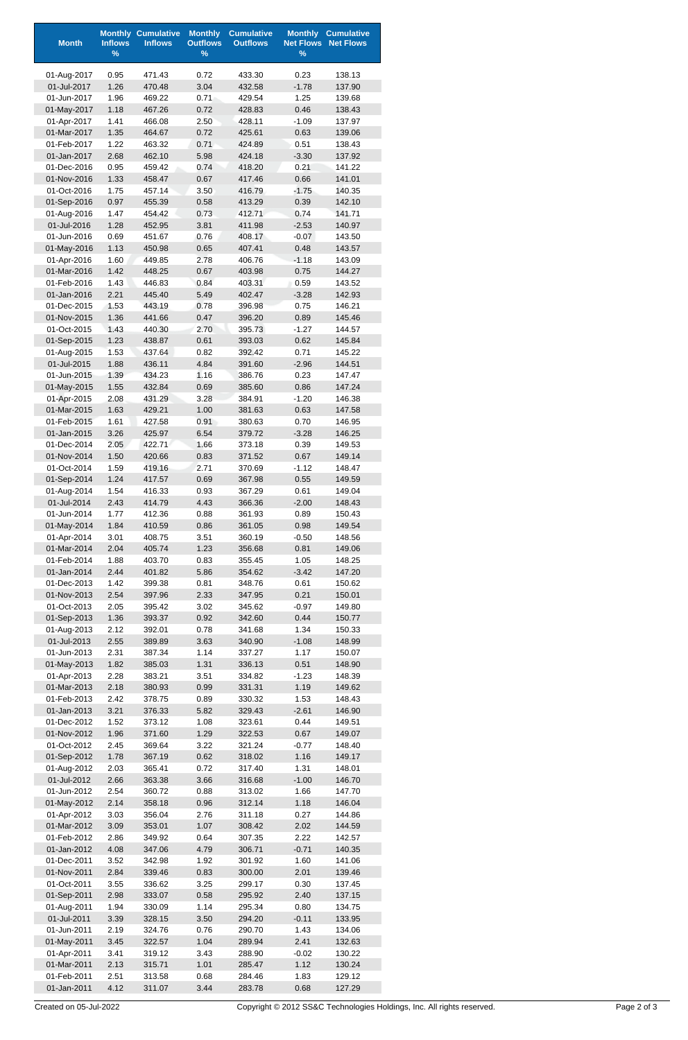| <b>Month</b>               | <b>Inflows</b> | <b>Monthly Cumulative</b><br><b>Inflows</b> | <b>Monthly</b><br><b>Outflows</b> | <b>Cumulative</b><br><b>Outflows</b> | <b>Monthly</b><br><b>Net Flows</b> | <b>Cumulative</b><br><b>Net Flows</b> |
|----------------------------|----------------|---------------------------------------------|-----------------------------------|--------------------------------------|------------------------------------|---------------------------------------|
|                            | $\%$           |                                             | $\%$                              |                                      | $\%$                               |                                       |
| 01-Aug-2017                | 0.95           | 471.43                                      | 0.72                              | 433.30                               | 0.23                               | 138.13                                |
| 01-Jul-2017                | 1.26           | 470.48                                      | 3.04                              | 432.58                               | $-1.78$                            | 137.90                                |
| 01-Jun-2017                | 1.96           | 469.22                                      | 0.71                              | 429.54                               | 1.25                               | 139.68                                |
| 01-May-2017                | 1.18           | 467.26                                      | 0.72                              | 428.83                               | 0.46                               | 138.43                                |
| 01-Apr-2017<br>01-Mar-2017 | 1.41<br>1.35   | 466.08<br>464.67                            | 2.50<br>0.72                      | 428.11<br>425.61                     | $-1.09$<br>0.63                    | 137.97<br>139.06                      |
| 01-Feb-2017                | 1.22           | 463.32                                      | 0.71                              | 424.89                               | 0.51                               | 138.43                                |
| 01-Jan-2017                | 2.68           | 462.10                                      | 5.98                              | 424.18                               | $-3.30$                            | 137.92                                |
| 01-Dec-2016                | 0.95           | 459.42                                      | 0.74                              | 418.20                               | 0.21                               | 141.22                                |
| 01-Nov-2016                | 1.33           | 458.47                                      | 0.67                              | 417.46                               | 0.66                               | 141.01                                |
| 01-Oct-2016                | 1.75           | 457.14                                      | 3.50                              | 416.79                               | $-1.75$                            | 140.35                                |
| 01-Sep-2016                | 0.97           | 455.39                                      | 0.58                              | 413.29                               | 0.39                               | 142.10                                |
| 01-Aug-2016<br>01-Jul-2016 | 1.47<br>1.28   | 454.42<br>452.95                            | 0.73<br>3.81                      | 412.71<br>411.98                     | 0.74<br>$-2.53$                    | 141.71<br>140.97                      |
| 01-Jun-2016                | 0.69           | 451.67                                      | 0.76                              | 408.17                               | $-0.07$                            | 143.50                                |
| 01-May-2016                | 1.13           | 450.98                                      | 0.65                              | 407.41                               | 0.48                               | 143.57                                |
| 01-Apr-2016                | 1.60           | 449.85                                      | 2.78                              | 406.76                               | $-1.18$                            | 143.09                                |
| 01-Mar-2016                | 1.42           | 448.25                                      | 0.67                              | 403.98                               | 0.75                               | 144.27                                |
| 01-Feb-2016                | 1.43           | 446.83                                      | 0.84                              | 403.31                               | 0.59                               | 143.52                                |
| 01-Jan-2016                | 2.21           | 445.40                                      | 5.49                              | 402.47                               | $-3.28$                            | 142.93                                |
| 01-Dec-2015<br>01-Nov-2015 | 1.53<br>1.36   | 443.19<br>441.66                            | 0.78<br>0.47                      | 396.98<br>396.20                     | 0.75<br>0.89                       | 146.21<br>145.46                      |
| 01-Oct-2015                | 1.43           | 440.30                                      | 2.70                              | 395.73                               | $-1.27$                            | 144.57                                |
| 01-Sep-2015                | 1.23           | 438.87                                      | 0.61                              | 393.03                               | 0.62                               | 145.84                                |
| 01-Aug-2015                | 1.53           | 437.64                                      | 0.82                              | 392.42                               | 0.71                               | 145.22                                |
| 01-Jul-2015                | 1.88           | 436.11                                      | 4.84                              | 391.60                               | $-2.96$                            | 144.51                                |
| 01-Jun-2015                | 1.39           | 434.23                                      | 1.16                              | 386.76                               | 0.23                               | 147.47                                |
| 01-May-2015<br>01-Apr-2015 | 1.55<br>2.08   | 432.84<br>431.29                            | 0.69<br>3.28                      | 385.60<br>384.91                     | 0.86<br>$-1.20$                    | 147.24<br>146.38                      |
| 01-Mar-2015                | 1.63           | 429.21                                      | 1.00                              | 381.63                               | 0.63                               | 147.58                                |
| 01-Feb-2015                | 1.61           | 427.58                                      | 0.91                              | 380.63                               | 0.70                               | 146.95                                |
| 01-Jan-2015                | 3.26           | 425.97                                      | 6.54                              | 379.72                               | $-3.28$                            | 146.25                                |
| 01-Dec-2014                | 2.05           | 422.71                                      | 1.66                              | 373.18                               | 0.39                               | 149.53                                |
| 01-Nov-2014                | 1.50           | 420.66                                      | 0.83                              | 371.52                               | 0.67                               | 149.14                                |
| 01-Oct-2014                | 1.59           | 419.16                                      | 2.71                              | 370.69                               | $-1.12$                            | 148.47                                |
| 01-Sep-2014<br>01-Aug-2014 | 1.24<br>1.54   | 417.57                                      | 0.69                              | 367.98                               | 0.55                               | 149.59<br>149.04                      |
| 01-Jul-2014                | 2.43           | 416.33<br>414.79                            | 0.93<br>4.43                      | 367.29<br>366.36                     | 0.61<br>$-2.00$                    | 148.43                                |
| 01-Jun-2014                | 1.77           | 412.36                                      | 0.88                              | 361.93                               | 0.89                               | 150.43                                |
| 01-May-2014                | 1.84           | 410.59                                      | 0.86                              | 361.05                               | 0.98                               | 149.54                                |
| 01-Apr-2014                | 3.01           | 408.75                                      | 3.51                              | 360.19                               | $-0.50$                            | 148.56                                |
| 01-Mar-2014                | 2.04           | 405.74                                      | 1.23                              | 356.68                               | 0.81                               | 149.06                                |
| 01-Feb-2014                | 1.88           | 403.70                                      | 0.83                              | 355.45                               | 1.05                               | 148.25                                |
| 01-Jan-2014<br>01-Dec-2013 | 2.44<br>1.42   | 401.82<br>399.38                            | 5.86<br>0.81                      | 354.62<br>348.76                     | $-3.42$<br>0.61                    | 147.20<br>150.62                      |
| 01-Nov-2013                | 2.54           | 397.96                                      | 2.33                              | 347.95                               | 0.21                               | 150.01                                |
| 01-Oct-2013                | 2.05           | 395.42                                      | 3.02                              | 345.62                               | $-0.97$                            | 149.80                                |
| 01-Sep-2013                | 1.36           | 393.37                                      | 0.92                              | 342.60                               | 0.44                               | 150.77                                |
| 01-Aug-2013                | 2.12           | 392.01                                      | 0.78                              | 341.68                               | 1.34                               | 150.33                                |
| 01-Jul-2013                | 2.55           | 389.89                                      | 3.63                              | 340.90                               | $-1.08$                            | 148.99                                |
| 01-Jun-2013                | 2.31           | 387.34                                      | 1.14                              | 337.27                               | 1.17                               | 150.07                                |
| 01-May-2013<br>01-Apr-2013 | 1.82<br>2.28   | 385.03<br>383.21                            | 1.31<br>3.51                      | 336.13<br>334.82                     | 0.51<br>$-1.23$                    | 148.90<br>148.39                      |
| 01-Mar-2013                | 2.18           | 380.93                                      | 0.99                              | 331.31                               | 1.19                               | 149.62                                |
| 01-Feb-2013                | 2.42           | 378.75                                      | 0.89                              | 330.32                               | 1.53                               | 148.43                                |
| 01-Jan-2013                | 3.21           | 376.33                                      | 5.82                              | 329.43                               | $-2.61$                            | 146.90                                |
| 01-Dec-2012                | 1.52           | 373.12                                      | 1.08                              | 323.61                               | 0.44                               | 149.51                                |
| 01-Nov-2012                | 1.96           | 371.60                                      | 1.29                              | 322.53                               | 0.67                               | 149.07                                |
| 01-Oct-2012                | 2.45           | 369.64                                      | 3.22                              | 321.24                               | $-0.77$                            | 148.40                                |
| 01-Sep-2012<br>01-Aug-2012 | 1.78<br>2.03   | 367.19<br>365.41                            | 0.62<br>0.72                      | 318.02<br>317.40                     | 1.16<br>1.31                       | 149.17<br>148.01                      |
| 01-Jul-2012                | 2.66           | 363.38                                      | 3.66                              | 316.68                               | $-1.00$                            | 146.70                                |
| 01-Jun-2012                | 2.54           | 360.72                                      | 0.88                              | 313.02                               | 1.66                               | 147.70                                |
| 01-May-2012                | 2.14           | 358.18                                      | 0.96                              | 312.14                               | 1.18                               | 146.04                                |
| 01-Apr-2012                | 3.03           | 356.04                                      | 2.76                              | 311.18                               | 0.27                               | 144.86                                |
| 01-Mar-2012                | 3.09           | 353.01                                      | 1.07                              | 308.42                               | 2.02                               | 144.59                                |
| 01-Feb-2012                | 2.86           | 349.92                                      | 0.64                              | 307.35                               | 2.22                               | 142.57                                |
| 01-Jan-2012<br>01-Dec-2011 | 4.08<br>3.52   | 347.06<br>342.98                            | 4.79<br>1.92                      | 306.71<br>301.92                     | $-0.71$<br>1.60                    | 140.35<br>141.06                      |
| 01-Nov-2011                | 2.84           | 339.46                                      | 0.83                              | 300.00                               | 2.01                               | 139.46                                |
| 01-Oct-2011                | 3.55           | 336.62                                      | 3.25                              | 299.17                               | 0.30                               | 137.45                                |
| 01-Sep-2011                | 2.98           | 333.07                                      | 0.58                              | 295.92                               | 2.40                               | 137.15                                |
| 01-Aug-2011                | 1.94           | 330.09                                      | 1.14                              | 295.34                               | 0.80                               | 134.75                                |
| 01-Jul-2011                | 3.39           | 328.15                                      | 3.50                              | 294.20                               | $-0.11$                            | 133.95                                |
| 01-Jun-2011                | 2.19           | 324.76                                      | 0.76                              | 290.70                               | 1.43                               | 134.06                                |
| 01-May-2011<br>01-Apr-2011 | 3.45<br>3.41   | 322.57<br>319.12                            | 1.04<br>3.43                      | 289.94<br>288.90                     | 2.41<br>$-0.02$                    | 132.63<br>130.22                      |
| 01-Mar-2011                | 2.13           | 315.71                                      | 1.01                              | 285.47                               | 1.12                               | 130.24                                |
| 01-Feb-2011                | 2.51           | 313.58                                      | 0.68                              | 284.46                               | 1.83                               | 129.12                                |
| 01-Jan-2011                | 4.12           | 311.07                                      | 3.44                              | 283.78                               | 0.68                               | 127.29                                |